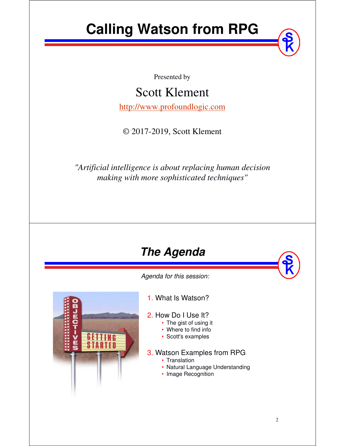# **Calling Watson from RPG**

Presented by

Scott Klement

http://www.profoundlogic.com

© 2017-2019, Scott Klement

*"Artificial intelligence is about replacing human decision making with more sophisticated techniques"*

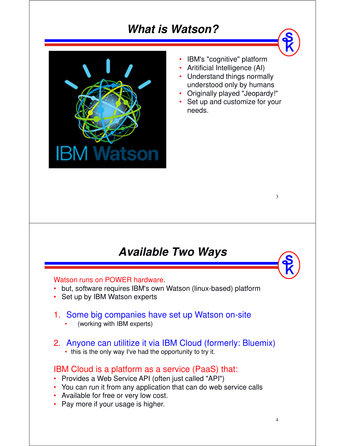### **What is Watson?**



•IBM's "cognitive" platform

• Aritificial Intelligence (AI)

- Understand things normally understood only by humans
- Originally played "Jeopardy!"
- Set up and customize for your needs.

### **Available Two Ways**

### Watson runs on POWER hardware.

- but, software requires IBM's own Watson (linux-based) platform
- Set up by IBM Watson experts

### 1. Some big companies have set up Watson on-site

- •(working with IBM experts)
- 2. Anyone can utilitize it via IBM Cloud (formerly: Bluemix)
	- this is the only way I've had the opportunity to try it.

### IBM Cloud is a platform as a service (PaaS) that:

- Provides a Web Service API (often just called "API")
- You can run it from any application that can do web service calls
- Available for free or very low cost.
- Pay more if your usage is higher.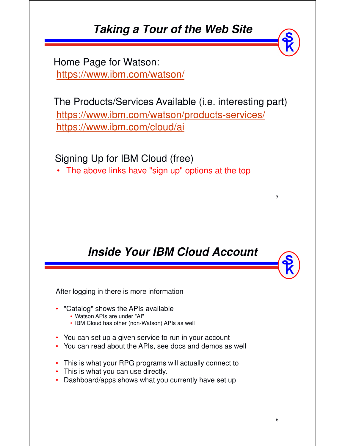### **Taking a Tour of the Web Site**

https://www.ibm.com/watson/ Home Page for Watson:

https://www.ibm.com/watson/products-services/ https://www.ibm.com/cloud/ai The Products/Services Available (i.e. interesting part)

Signing Up for IBM Cloud (free)

• The above links have "sign up" options at the top

## **Inside Your IBM Cloud Account**

After logging in there is more information

- • "Catalog" shows the APIs available
	- Watson APIs are under "AI"
	- IBM Cloud has other (non-Watson) APIs as well
- •You can set up a given service to run in your account
- You can read about the APIs, see docs and demos as well
- This is what your RPG programs will actually connect to
- This is what you can use directly.
- •Dashboard/apps shows what you currently have set up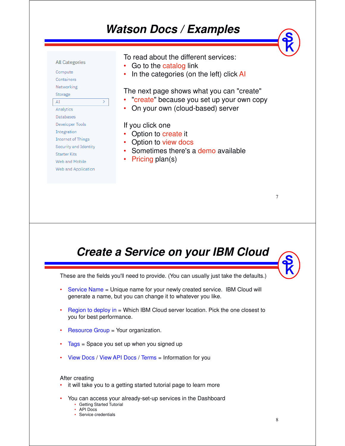### **Watson Docs / Examples**



### **Create a Service on your IBM Cloud**

These are the fields you'll need to provide. (You can usually just take the defaults.)

- Service Name = Unique name for your newly created service. IBM Cloud will generate a name, but you can change it to whatever you like.
- • Region to deploy in = Which IBM Cloud server location. Pick the one closest to you for best performance.
- Resource Group = Your organization.
- Tags = Space you set up when you signed up
- •View Docs / View API Docs / Terms = Information for you

#### After creating

- it will take you to a getting started tutorial page to learn more
- You can access your already-set-up services in the Dashboard
	- Getting Started Tutorial
	- API Docs
	- Service credentials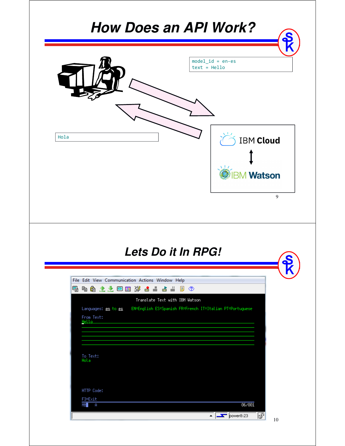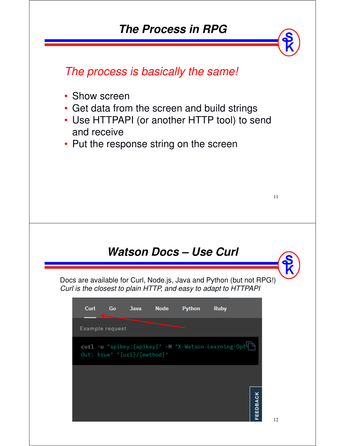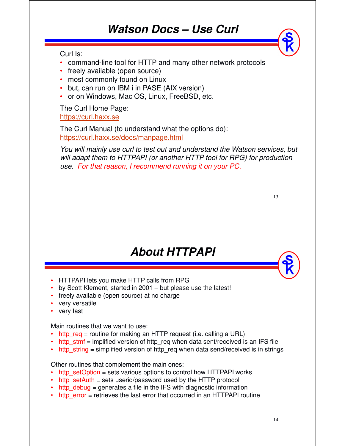### **Watson Docs – Use Curl**

Curl Is:

- command-line tool for HTTP and many other network protocols
- freely available (open source)
- most commonly found on Linux
- but, can run on IBM i in PASE (AIX version)
- or on Windows, Mac OS, Linux, FreeBSD, etc.

The Curl Home Page: https://curl.haxx.se

The Curl Manual (to understand what the options do): https://curl.haxx.se/docs/manpage.html

*You will mainly use curl to test out and understand the Watson services, but will adapt them to HTTPAPI (or another HTTP tool for RPG) for production use. For that reason, I recommend running it on your PC.*

| ٠<br>٠           |
|------------------|
| I<br>I<br>÷<br>v |

### **About HTTPAPI**

- HTTPAPI lets you make HTTP calls from RPG
- by Scott Klement, started in 2001 but please use the latest!
- freely available (open source) at no charge
- very versatile
- •very fast

Main routines that we want to use:

- http  $req = routine$  for making an HTTP request (i.e. calling a URL)
- http\_stmf = implified version of http\_req when data sent/received is an IFS file
- http\_string = simplified version of http\_req when data send/received is in strings

Other routines that complement the main ones:

- http\_setOption = sets various options to control how HTTPAPI works
- http setAuth = sets userid/password used by the HTTP protocol
- http debug = generates a file in the IFS with diagnostic information
- http error = retrieves the last error that occurred in an HTTPAPI routine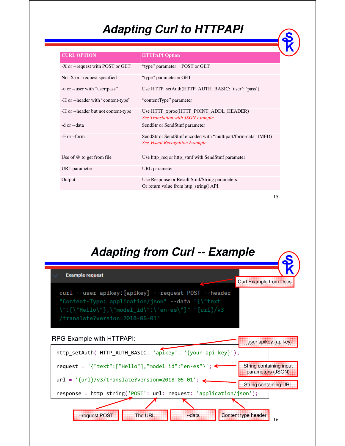# **Adapting Curl to HTTPAPI**

| <b>CURL OPTION</b>                  | <b>HTTPAPI Option</b>                                                                                 |  |
|-------------------------------------|-------------------------------------------------------------------------------------------------------|--|
| -X or --request with POST or GET    | "type" parameter $=$ POST or GET                                                                      |  |
| No -X or $-$ request specified      | "type" parameter $=$ GET                                                                              |  |
| -u or --user with "user:pass"       | Use HTTP_setAuth(HTTP_AUTH_BASIC: 'user': 'pass')                                                     |  |
| -H or --header with "content-type"  | "contentType" parameter                                                                               |  |
| -H or --header but not content-type | Use HTTP_xproc(HTTP_POINT_ADDL_HEADER)<br>See Translation with JSON example.                          |  |
| -d or --data                        | SendStr or SendStmf parameter                                                                         |  |
| $-F$ or $-form$                     | SendStr or SendStmf encoded with "multipart/form-data" (MFD)<br><b>See Visual Recognition Example</b> |  |
| Use of $@$ to get from file         | Use http_req or http_stmf with SendStmf parameter                                                     |  |
| URL parameter                       | URL parameter                                                                                         |  |
| Output                              | Use Response or Result Stmf/String parameters<br>Or return value from http_string() API.              |  |

15

### **Adapting from Curl -- Example**

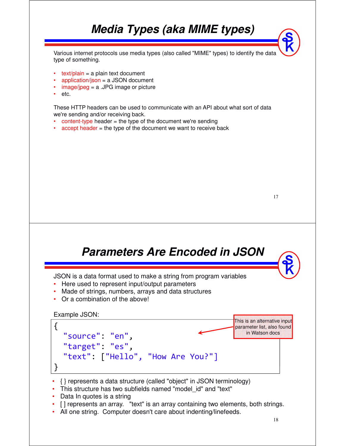## **Media Types (aka MIME types)**

Various internet protocols use media types (also called "MIME" types) to identify the data type of something.

- $text/plain = a plain text document$
- application/json = a JSON document
- $\frac{image/ipeq}{=} a$ . JPG image or picture
- •etc.

These HTTP headers can be used to communicate with an API about what sort of data we're sending and/or receiving back.

- $\text{content-type header} = \text{the type of the document we're sending}$
- accept header = the type of the document we want to receive back

**Parameters Are Encoded in JSON** JSON is a data format used to make a string from program variables • Here used to represent input/output parameters • Made of strings, numbers, arrays and data structures Or a combination of the above! Example JSON: { { "source": "en",<br>" teliget: es,  $\vert$ . • { } represents a data structure (called "object" in JSON terminology) • This structure has two subfields named "model id" and "text" "target": "es", "text": ["Hello", "How Are You?"] } This is an alternative input parameter list, also found in Watson docs

- Data In quotes is a string
- [ ] represents an array. "text" is an array containing two elements, both strings.
- All one string. Computer doesn't care about indenting/linefeeds.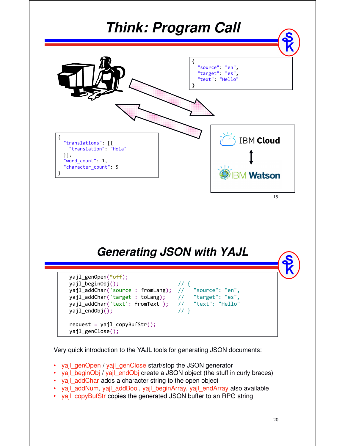

Very quick introduction to the YAJL tools for generating JSON documents:

- •yajl\_genOpen / yajl\_genClose start/stop the JSON generator
- •yajl\_beginObj / yajl\_endObj create a JSON object (the stuff in curly braces)
- yajl\_addChar adds a character string to the open object
- yajl\_addNum, yajl\_addBool, yajl\_beginArray, yajl\_endArray also available
- yajl\_copyBufStr copies the generated JSON buffer to an RPG string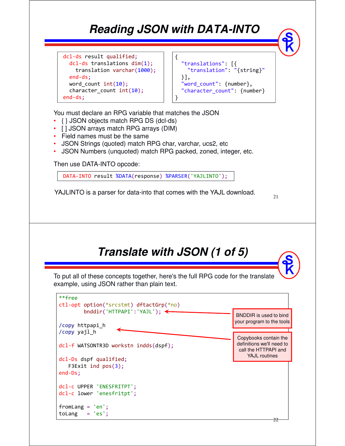## **Reading JSON with DATA-INTO**

{

}

```
dcl-ds result qualified;
 dcl-ds translations dim(1);
   translation varchar(1000);
 end-ds;
 word_count int(10);
 character count int(10);
end-ds;
```

```
"translations": [{
  "translation": "{string}"
}],
"word count": {number},
"character count": {number}
```
You must declare an RPG variable that matches the JSON

- •{ } JSON objects match RPG DS (dcl-ds)
- [] JSON arrays match RPG arrays (DIM)
- Field names must be the same
- •JSON Strings (quoted) match RPG char, varchar, ucs2, etc
- JSON Numbers (unquoted) match RPG packed, zoned, integer, etc.

Then use DATA-INTO opcode:

DATA-INTO result %DATA(response) %PARSER('YAJLINTO');

YAJLINTO is a parser for data-into that comes with the YAJL download.

```
21
```
# **Translate with JSON (1 of 5)**

To put all of these concepts together, here's the full RPG code for the translate example, using JSON rather than plain text.

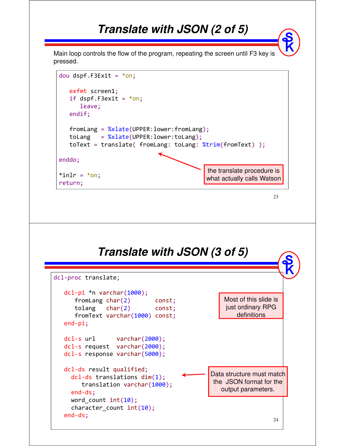### **Translate with JSON (2 of 5)**

Main loop controls the flow of the program, repeating the screen until F3 key is pressed.



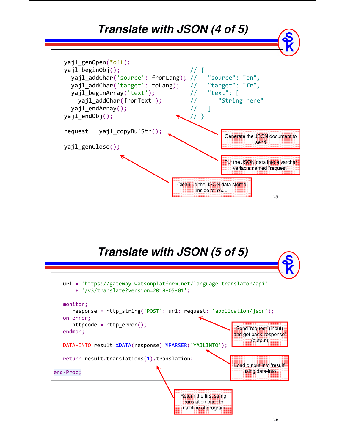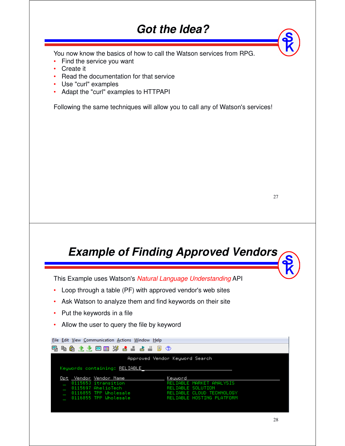### **Got the Idea?**

You now know the basics of how to call the Watson services from RPG.

- •Find the service you want
- •Create it
- •Read the documentation for that service
- •Use "curl" examples
- Adapt the "curl" examples to HTTPAPI

Following the same techniques will allow you to call any of Watson's services!

27

### **Example of Finding Approved Vendors**

This Example uses Watson's *Natural Language Understanding* API

- •Loop through a table (PF) with approved vendor's web sites
- •Ask Watson to analyze them and find keywords on their site
- Put the keywords in a file
- •Allow the user to query the file by keyword

| File Edit View Communication Actions Window Help |                           |  |  |  |
|--------------------------------------------------|---------------------------|--|--|--|
| 电角 土土 网囲 30 晶晶晶晶圆 ①<br>嘺                         |                           |  |  |  |
| Approved Vendor Keyword Search                   |                           |  |  |  |
| Keywords containing: RELIABLE                    |                           |  |  |  |
| Opt Vendor Vendor Name                           | Keuword                   |  |  |  |
| 0115653 itransition                              | RELIABLE MARKET ANALYSIS  |  |  |  |
| 0115697 AhelioTech                               | RELIABLE SOLUTION         |  |  |  |
| 0116855 TPP Wholesale                            | RELIABLE CLOUD TECHNOLOGY |  |  |  |
| 0116855 TPP Wholesale                            | RELIABLE HOSTING PLATFORM |  |  |  |
|                                                  |                           |  |  |  |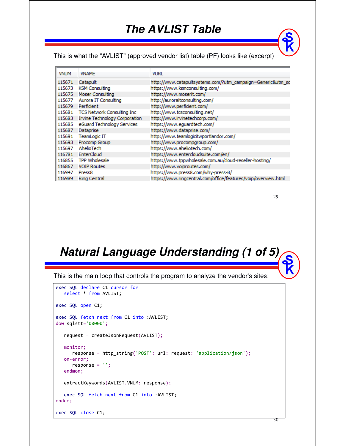### **The AVLIST Table**

This is what the "AVLIST" (approved vendor list) table (PF) looks like (excerpt)

| <b>VNUM</b> | <b>VNAME</b>                         | <b>VURL</b>                                                    |
|-------------|--------------------------------------|----------------------------------------------------------------|
| 115671      | Catapult                             | http://www.catapultsystems.com/?utm_campaign=Generic&utm_sc    |
| 115673      | <b>KSM Consulting</b>                | https://www.ksmconsulting.com/                                 |
| 115675      | Moser Consulting                     | https://www.moserit.com/                                       |
| 115677      | Aurora IT Consulting                 | http://auroraitconsulting.com/                                 |
| 115679      | Perficient                           | http://www.perficient.com/                                     |
| 115681      | TCS Network Consulting Inc           | http://www.tcsconsulting.net/                                  |
| 115683      | <b>Irvine Technology Corporation</b> | http://www.irvinetechcorp.com/                                 |
| 115685      | eGuard Technology Services           | https://www.equardtech.com/                                    |
| 115687      | Dataprise                            | https://www.dataprise.com/                                     |
| 115691      | TeamLogic IT                         | http://www.teamlogicitwportlandor.com/                         |
| 115693      | Procomp Group                        | http://www.procompgroup.com/                                   |
| 115697      | AhelioTech                           | https://www.aheliotech.com/                                    |
| 116781      | EnterCloud                           | https://www.entercloudsuite.com/en/                            |
|             | 116855 TPP Wholesale                 | https://www.tppwholesale.com.au/doud-reseller-hosting/         |
| 116867      | <b>VOIP Routes</b>                   | http://www.voiproutes.com/                                     |
| 116947      | Press <sub>8</sub>                   | https://www.press8.com/why-press-8/                            |
| 116989      | Ring Central                         | https://www.ringcentral.com/office/features/voip/overview.html |

#### 29

### **Natural Language Understanding (1 of 5)**

This is the main loop that controls the program to analyze the vendor's sites:

```
exec SQL declare C1 cursor for
  select * from AVLIST;
exec SQL open C1;
exec SQL fetch next from C1 into :AVLIST;
dow sqlstt='00000';
  request = createJsonRequest(AVLIST);
  monitor;
     response = http_string('POST': url: request: 'application/json');
   on-error;
     response = '';
   endmon;
  extractKeywords(AVLIST.VNUM: response);
   exec SQL fetch next from C1 into :AVLIST;
enddo;
exec SQL close C1;
```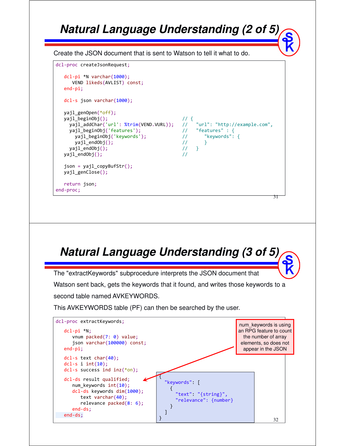### **Natural Language Understanding (2 of 5)**

Create the JSON document that is sent to Watson to tell it what to do.



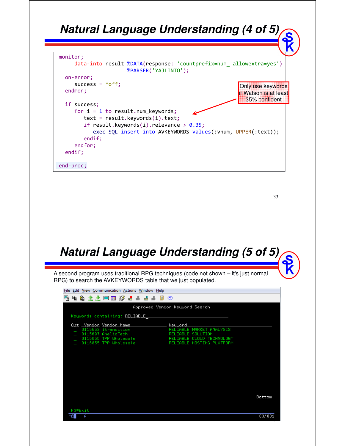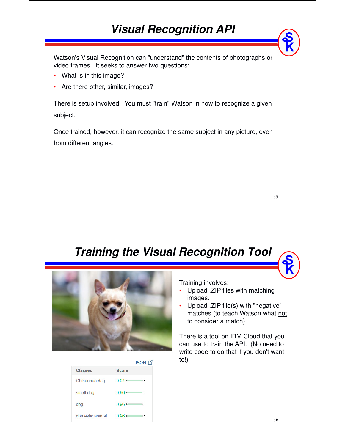## **Visual Recognition API**

Watson's Visual Recognition can "understand" the contents of photographs or video frames. It seeks to answer two questions:

- What is in this image?
- •Are there other, similar, images?

There is setup involved. You must "train" Watson in how to recognize a given subject.

Once trained, however, it can recognize the same subject in any picture, even from different angles.

| ٠                |                   |
|------------------|-------------------|
| I<br>I<br>×<br>v | i<br>۰.<br>٠<br>v |

### **Training the Visual Recognition Tool**





Training involves:

- • Upload .ZIP files with matching images.
- • Upload .ZIP file(s) with "negative" matches (to teach Watson what not to consider a match)

There is a tool on IBM Cloud that you can use to train the API. (No need to write code to do that if you don't want to!)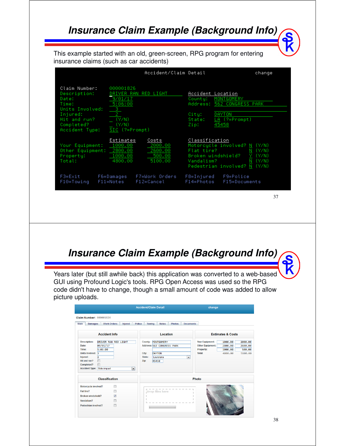### **Insurance Claim Example (Background Info)**

This example started with an old, green-screen, RPG program for entering insurance claims (such as car accidents)

|                                                                                                                                |                                                                              | Accident/Claim Detail                            |                                            | change                                                                                                                  |
|--------------------------------------------------------------------------------------------------------------------------------|------------------------------------------------------------------------------|--------------------------------------------------|--------------------------------------------|-------------------------------------------------------------------------------------------------------------------------|
| Claim Number:<br>Description:<br>Date:<br>Time:<br>Units Involved:<br>Injured:<br>Hit and run?<br>Completed?<br>Accident Tupe: | 000001826<br>9/01/17<br>5:06:00<br>з<br>(Y/N)<br>(Y/N)<br>$SIC$ $(?=Prompt)$ | DRIVER RAN RED LIGHT                             | County:<br>City:<br>State:<br>Zip:         | Accident Location<br>MONTGOMERY<br>Address: 562 CONGRESS PARK<br>DAYTON<br>$LA$ $(?=Prompt)$<br>45458                   |
| Your Equipment:<br>Other Equipment:<br>Property:<br>Total:                                                                     | Estimates<br>1000.00<br>2800.00<br>1000.00<br>4800.00                        | Costs<br>2000.00<br>2600.00<br>500.00<br>5100.00 | Classification<br>Flat tire?<br>Vandalism? | Motorcycle involved? N (Y/N)<br>(Y/N)<br>N<br>Broken windshield?<br>(Y/N)<br>(Y/N)<br>Ν<br>Pedestrian involved? N (Y/N) |
| $F3 = E \times i t$<br>F10=Towing                                                                                              | F6=Damages<br>F11=Notes                                                      | F7=Work Orders<br>$F12 =$ Cancel                 | F8=Injured<br>F14=Photos                   | F9=Police<br>F15=Documents                                                                                              |
|                                                                                                                                |                                                                              |                                                  |                                            | 37                                                                                                                      |

**Insurance Claim Example (Background Info)**

Years later (but still awhile back) this application was converted to a web-based GUI using Profound Logic's tools. RPG Open Access was used so the RPG code didn't have to change, though a small amount of code was added to allow picture uploads.

|                                                                                                                                                                     |                                      | change                                                                                                                                         |                                                                                                                                                                                                |
|---------------------------------------------------------------------------------------------------------------------------------------------------------------------|--------------------------------------|------------------------------------------------------------------------------------------------------------------------------------------------|------------------------------------------------------------------------------------------------------------------------------------------------------------------------------------------------|
| Claim Number: 000001826<br>Main<br><b>Damages</b>                                                                                                                   | <b>Work Orders</b><br><b>Injured</b> | <b>Police</b><br><b>Notes</b><br><b>Photos</b><br><b>Towing</b>                                                                                | <b>Documents</b>                                                                                                                                                                               |
|                                                                                                                                                                     | <b>Accident Info</b>                 | Location                                                                                                                                       | <b>Estimates &amp; Costs</b>                                                                                                                                                                   |
| <b>Description:</b><br>Date:<br>09/01/17<br>Time:<br>5:06:00<br>Units Involved: 3<br>Injured:<br>2<br>m<br>Hit and run?<br>Completed?<br>Accident Type: Side-impact | DRIVER RAN RED LIGHT                 | County: MONTGOMERY<br>Address: 562 CONGRESS PARK<br>City:<br><b>DAYTON</b><br>State:<br>Louisiana<br>Zip:<br>45458<br>$\overline{\phantom{0}}$ | <b>Your Equipment:</b><br>1000.00<br>2000.00<br><b>Other Equipment:</b><br>2800.00<br>2600.00<br>Property:<br>500.00<br>1000.00<br><b>Total:</b><br>4800.00<br>5100.00<br>$\blacktriangledown$ |
|                                                                                                                                                                     | <b>Classification</b>                |                                                                                                                                                | Photo                                                                                                                                                                                          |
| Motorcycle involved?<br>Flat tire?<br><b>Broken windshield?</b><br>Vandalism?<br>Pedestrian involved?                                                               | П<br>п<br>$\overline{v}$<br>m        | Drop files here                                                                                                                                |                                                                                                                                                                                                |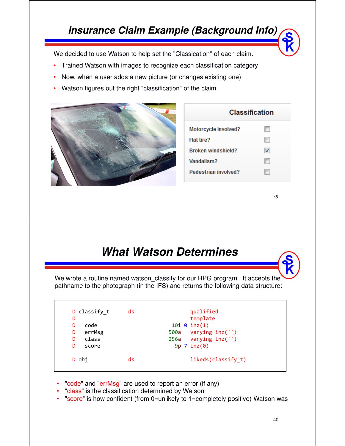### **Insurance Claim Example (Background Info)**

We decided to use Watson to help set the "Classication" of each claim.

- •Trained Watson with images to recognize each classification category
- •Now, when a user adds a new picture (or changes existing one)
- •Watson figures out the right "classification" of the claim.



### **Classification**

| Motorcycle involved?      |                          |
|---------------------------|--------------------------|
| Flat tire?                |                          |
| <b>Broken windshield?</b> | $\overline{\mathcal{A}}$ |
| Vandalism?                |                          |
| Pedestrian involved?      |                          |

#### 39

### **What Watson Determines**

We wrote a routine named watson\_classify for our RPG program. It accepts the pathname to the photograph (in the IFS) and returns the following data structure:

| D classify t<br>D<br>code<br>D | ds | qualified<br>template<br>$10i \ 0 \ inz(1)$      |
|--------------------------------|----|--------------------------------------------------|
| errMsg<br>D<br>class<br>D      |    | 500a varying inz('')<br>$256a$ varying $inz('')$ |
| D<br>score                     |    | $9p$ 7 inz $(0)$                                 |
| D obi                          | ds | likeds(classify t)                               |

- •"code" and "errMsg" are used to report an error (if any)
- •"class" is the classification determined by Watson
- •"score" is how confident (from 0=unlikely to 1=completely positive) Watson was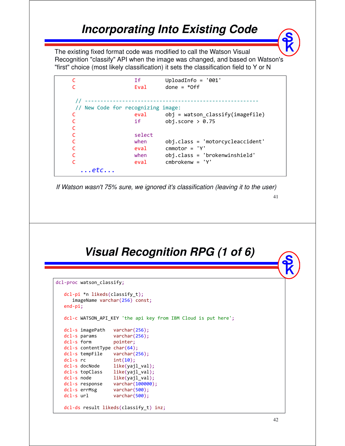### **Incorporating Into Existing Code**

The existing fixed format code was modified to call the Watson Visual Recognition "classify" API when the image was changed, and based on Watson's "first" choice (most likely classification) it sets the classification field to Y or N

```
C If UploadInfo = '001' 
C Eval done = *Off
// --------------------------------------------------------
 // New Code for recognizing image:
C eval obj = watson_classify(imagefile)<br>C if obj.score > 0.75
                          obj.score > 0.75C
C<sub>select</sub> contract contract of the select
C when obj.class = 'motorcycleaccident'
C eval cmmotor = 'Y'<br>C when obj.class = '
                          obj.class = 'brokenwinshield'
C eval cmbrokenw = 'Y'
  ...etc...
```
*If Watson wasn't 75% sure, we ignored it's classification (leaving it to the user)*

41

### **Visual Recognition RPG (1 of 6)**

```
dcl-proc watson_classify;
  dcl-pi *n likeds(classify_t);
     imageName varchar(256) const;
  end-pi;
  dcl-c WATSON API KEY 'the api key from IBM Cloud is put here';
  dcl-s imagePath varchar(256);
  dcl-s params varchar(256);
  dcl-s form pointer;
  dcl-s contentType char(64);
  dcl-s tempFile varchar(256);
   dcl-s rc int(10);
   dcl-s docNode like(yajl_val);
  dcl-s topClass like(yajl_val);
  dcl-s node like(yajl_val);
  dcl-s response varchar(100000);
  dcl-s errMsg varchar(500);
  dcl-s url varchar(500);
  dcl-ds result likeds(classify_t) inz;
```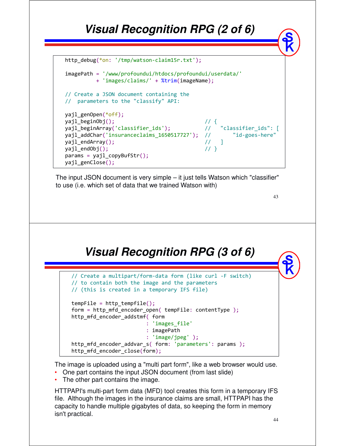### **Visual Recognition RPG (2 of 6)**

```
http_debug(*on: '/tmp/watson-claim15r.txt');
```

```
imagePath = '/www/profoundui/htdocs/profoundui/userdata/'
         + 'images/claims/' + %trim(imageName);
// Create a JSON document containing the
// parameters to the "classify" API:
yajl_genOpen(*off);
```

```
yajl_beginObj(); // {
yajl_beginArray('classifier_ids'); // "classifier_ids": [
yajl_beginQroj();<br>yajl_beginArray('classifier_ids');                           // "classifier_ids": [<br>yajl_addChar('insuranceclaims_1650517727');                                 // "id-goes-here"<br>yajl_endArray();          
yajl endArray();
yajl\_endObj(); \qquad \qquad // }
params = yajl copyBuffer();
```
The input JSON document is very simple – it just tells Watson which "classifier" to use (i.e. which set of data that we trained Watson with)

43

### **Visual Recognition RPG (3 of 6)**

| // Create a multipart/form-data form (like curl -F switch)<br>// to contain both the image and the parameters<br>// (this is created in a temporary IFS file) |
|---------------------------------------------------------------------------------------------------------------------------------------------------------------|
| $tempFile = http tempfile();$<br>form = http mfd encoder open( tempFile: contentType );<br>http mfd encoder addstmf( form                                     |
| : 'images file'                                                                                                                                               |
| $: \mathsf{imagePath}$                                                                                                                                        |
| : $'$ image/jpeg' );                                                                                                                                          |
| http mfd encoder addvar s( form: 'parameters': params );                                                                                                      |
| http_mfd_encoder_close(form);                                                                                                                                 |

The image is uploaded using a "multi part form", like a web browser would use.

- One part contains the input JSON document (from last slide)
- The other part contains the image.

yajl\_genClose();

HTTPAPI's multi-part form data (MFD) tool creates this form in a temporary IFS file. Although the images in the insurance claims are small, HTTPAPI has the capacity to handle multiple gigabytes of data, so keeping the form in memory isn't practical.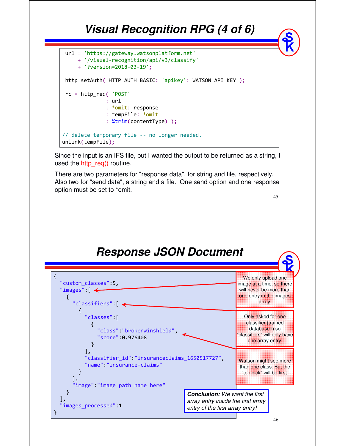## **Visual Recognition RPG (4 of 6)**



Since the input is an IFS file, but I wanted the output to be returned as a string, I used the http\_req() routine.

There are two parameters for "response data", for string and file, respectively. Also two for "send data", a string and a file. One send option and one response option must be set to \*omit.

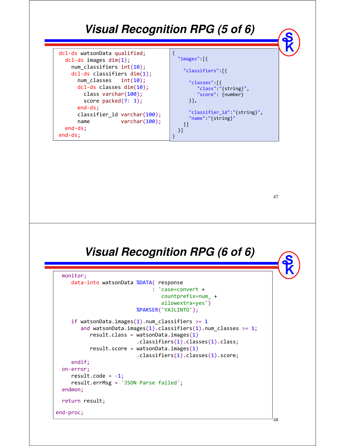### **Visual Recognition RPG (5 of 6)**

| dcl-ds watsonData qualified;    |                                                 |
|---------------------------------|-------------------------------------------------|
| $dcl-ds$ images $dim(1)$ ;      | " $images" [$                                   |
| $num\_classifiers int(10);$     | "classifiers":[{                                |
| $dcl-ds$ classifiers $dim(1)$ ; |                                                 |
| num classes $int(10)$ ;         | "classes": $\lceil \cdot \rceil$                |
| $dcl-ds$ classes $dim(10);$     | " $class$ ":"{ $string$ }",                     |
| class varchar(100);             | "score": {number}                               |
| score $packet(7: 3);$           | $\vert \cdot \vert$                             |
| $end-ds;$                       |                                                 |
| classifier_id varchar(100);     | "classifier_id":"{string}",                     |
| varchar $(100)$ ;<br>name       | $"name":" {string}$<br>$\overline{\phantom{a}}$ |
| end-ds;                         |                                                 |
| $end-ds$ :                      |                                                 |
|                                 |                                                 |

47

48

### **Visual Recognition RPG (6 of 6)**

```
monitor;
     data-into watsonData %DATA( response
                                : 'case=convert +
                                  countprefix=num_ +
                                  allowextra=yes')
                          %PARSER('YAJLINTO');
     if watsonData.images(1).num_classifiers >= 1
        and watsonData.images(1).classifiers(1).num classes >= 1;
           result.class = watsonData.images(1)
                          .classifiers(1).classes(1).class;
           result_score = watsonData.inages(1).classifiers(1).classes(1).score;
     endif;
  on-error;
     result.code = -1;
     result.errMsg = 'JSON Parse failed';
  endmon;
  return result;
end-proc;
```